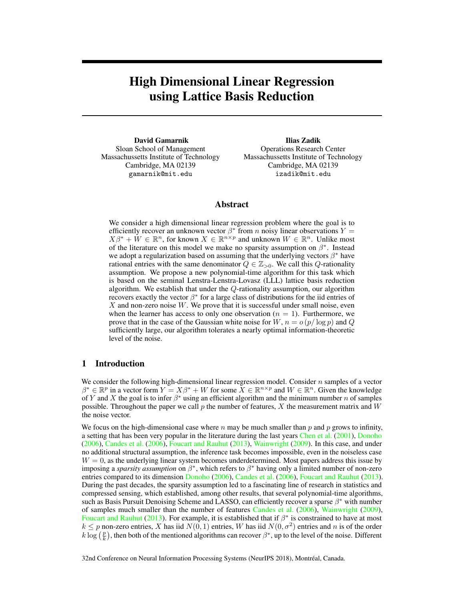# High Dimensional Linear Regression using Lattice Basis Reduction

David Gamarnik Sloan School of Management Massachussetts Institute of Technology Cambridge, MA 02139 gamarnik@mit.edu

Ilias Zadik Operations Research Center Massachussetts Institute of Technology Cambridge, MA 02139 izadik@mit.edu

# Abstract

We consider a high dimensional linear regression problem where the goal is to efficiently recover an unknown vector  $\beta^*$  from n noisy linear observations  $Y =$  $X\beta^* + \check{W} \in \mathbb{R}^n$ , for known  $X \in \mathbb{R}^{n \times p}$  and unknown  $W \in \mathbb{R}^n$ . Unlike most of the literature on this model we make no sparsity assumption on  $\beta^*$ . Instead we adopt a regularization based on assuming that the underlying vectors  $\beta^*$  have rational entries with the same denominator  $Q \in \mathbb{Z}_{>0}$ . We call this Q-rationality assumption. We propose a new polynomial-time algorithm for this task which is based on the seminal Lenstra-Lenstra-Lovasz (LLL) lattice basis reduction algorithm. We establish that under the Q-rationality assumption, our algorithm recovers exactly the vector  $\beta^*$  for a large class of distributions for the iid entries of X and non-zero noise  $W$ . We prove that it is successful under small noise, even when the learner has access to only one observation ( $n = 1$ ). Furthermore, we prove that in the case of the Gaussian white noise for  $W, n = o(p/\log p)$  and Q sufficiently large, our algorithm tolerates a nearly optimal information-theoretic level of the noise.

## 1 Introduction

We consider the following high-dimensional linear regression model. Consider  $n$  samples of a vector  $\beta^* \in \mathbb{R}^p$  in a vector form  $Y = X\beta^* + W$  for some  $\overline{X} \in \mathbb{R}^{n \times p}$  and  $W \in \mathbb{R}^n$ . Given the knowledge of Y and X the goal is to infer  $\beta^*$  using an efficient algorithm and the minimum number n of samples possible. Throughout the paper we call  $p$  the number of features,  $X$  the measurement matrix and  $W$ the noise vector.

We focus on the high-dimensional case where  $n$  may be much smaller than  $p$  and  $p$  grows to infinity, a setting that has been very popular in the literature during the last years Chen et al. (2001), Donoho (2006), Candes et al. (2006), Foucart and Rauhut (2013), Wainwright (2009). In this case, and under no additional structural assumption, the inference task becomes impossible, even in the noiseless case  $W = 0$ , as the underlying linear system becomes underdetermined. Most papers address this issue by imposing a *sparsity assumption* on  $\beta^*$ , which refers to  $\beta^*$  having only a limited number of non-zero entries compared to its dimension Donoho (2006), Candes et al. (2006), Foucart and Rauhut (2013). During the past decades, the sparsity assumption led to a fascinating line of research in statistics and compressed sensing, which established, among other results, that several polynomial-time algorithms, such as Basis Pursuit Denoising Scheme and LASSO, can efficiently recover a sparse  $\beta^*$  with number of samples much smaller than the number of features Candes et al. (2006), Wainwright (2009), Foucart and Rauhut (2013). For example, it is established that if  $\beta^*$  is constrained to have at most  $k \leq p$  non-zero entries, X has iid  $N(0, 1)$  entries, W has iid  $N(0, \sigma^2)$  entries and n is of the order  $k \log(\frac{p}{k})$ , then both of the mentioned algorithms can recover  $\beta^*$ , up to the level of the noise. Different

32nd Conference on Neural Information Processing Systems (NeurIPS 2018), Montréal, Canada.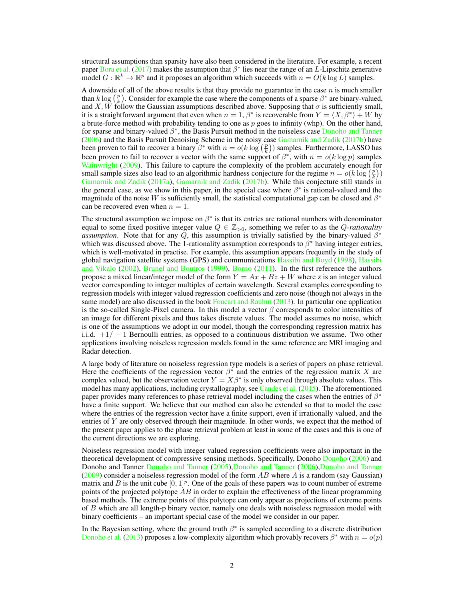structural assumptions than sparsity have also been considered in the literature. For example, a recent paper Bora et al. (2017) makes the assumption that  $\beta^*$  lies near the range of an L-Lipschitz generative model  $G : \mathbb{R}^k \to \mathbb{R}^p$  and it proposes an algorithm which succeeds with  $n = O(k \log L)$  samples.

A downside of all of the above results is that they provide no guarantee in the case  $n$  is much smaller than  $k \log(\frac{p}{k})$ . Consider for example the case where the components of a sparse  $\beta^*$  are binary-valued, and X, W follow the Gaussian assumptions described above. Supposing that  $\sigma$  is sufficiently small, it is a straightforward argument that even when  $n = 1$ ,  $\beta^*$  is recoverable from  $Y = \langle X, \beta^* \rangle + W$  by a brute-force method with probability tending to one as  $p$  goes to infinity (whp). On the other hand, for sparse and binary-valued  $\beta^*$ , the Basis Pursuit method in the noiseless case Donoho and Tanner (2006) and the Basis Pursuit Denoising Scheme in the noisy case Gamarnik and Zadik (2017b) have been proven to fail to recover a binary  $\beta^*$  with  $n = o(k \log(\frac{p}{k}))$  samples. Furthermore, LASSO has been proven to fail to recover a vector with the same support of  $\beta^*$ , with  $n = o(k \log p)$  samples Wainwright (2009). This failure to capture the complexity of the problem accurately enough for small sample sizes also lead to an algorithmic hardness conjecture for the regime  $n = o(k \log(\frac{p}{k}))$ Gamarnik and Zadik (2017a), Gamarnik and Zadik (2017b). While this conjecture still stands in the general case, as we show in this paper, in the special case where  $\beta^*$  is rational-valued and the magnitude of the noise W is sufficiently small, the statistical computational gap can be closed and  $\beta^*$ can be recovered even when  $n = 1$ .

The structural assumption we impose on  $\beta^*$  is that its entries are rational numbers with denominator equal to some fixed positive integer value  $Q \in \mathbb{Z}_{>0}$ , something we refer to as the *Q-rationality assumption*. Note that for any  $\overline{Q}$ , this assumption is trivially satisfied by the binary-valued  $\beta^*$ which was discussed above. The 1-rationality assumption corresponds to  $\beta^*$  having integer entries, which is well-motivated in practise. For example, this assumption appears frequently in the study of global navigation satellite systems (GPS) and communications Hassibi and Boyd (1998), Hassibi and Vikalo (2002), Brunel and Boutros (1999), Borno (2011). In the first reference the authors propose a mixed linear/integer model of the form  $Y = Ax + Bz + W$  where z is an integer valued vector corresponding to integer multiples of certain wavelength. Several examples corresponding to regression models with integer valued regression coefficients and zero noise (though not always in the same model) are also discussed in the book Foucart and Rauhut  $(2013)$ . In particular one application is the so-called Single-Pixel camera. In this model a vector  $\beta$  corresponds to color intensities of an image for different pixels and thus takes discrete values. The model assumes no noise, which is one of the assumptions we adopt in our model, though the corresponding regression matrix has i.i.d.  $+1/-1$  Bernoulli entries, as opposed to a continuous distribution we assume. Two other applications involving noiseless regression models found in the same reference are MRI imaging and Radar detection.

A large body of literature on noiseless regression type models is a series of papers on phase retrieval. Here the coefficients of the regression vector  $\beta^*$  and the entries of the regression matrix X are complex valued, but the observation vector  $Y = X\beta^*$  is only observed through absolute values. This model has many applications, including crystallography, see Candes et al. (2015). The aforementioned paper provides many references to phase retrieval model including the cases when the entries of  $\beta^*$ have a finite support. We believe that our method can also be extended so that to model the case where the entries of the regression vector have a finite support, even if irrationally valued, and the entries of  $Y$  are only observed through their magnitude. In other words, we expect that the method of the present paper applies to the phase retrieval problem at least in some of the cases and this is one of the current directions we are exploring.

Noiseless regression model with integer valued regression coefficients were also important in the theoretical development of compressive sensing methods. Specifically, Donoho Donoho (2006) and Donoho and Tanner Donoho and Tanner (2005),Donoho and Tanner (2006),Donoho and Tanner  $(2009)$  consider a noiseless regression model of the form AB where A is a random (say Gaussian) matrix and B is the unit cube  $[0, 1]^p$ . One of the goals of these papers was to count number of extreme points of the projected polytope  $AB$  in order to explain the effectiveness of the linear programming based methods. The extreme points of this polytope can only appear as projections of extreme points of B which are all length-p binary vector, namely one deals with noiseless regression model with binary coefficients – an important special case of the model we consider in our paper.

In the Bayesian setting, where the ground truth  $\beta^*$  is sampled according to a discrete distribution Donoho et al. (2013) proposes a low-complexity algorithm which provably recovers  $\beta^*$  with  $n = o(p)$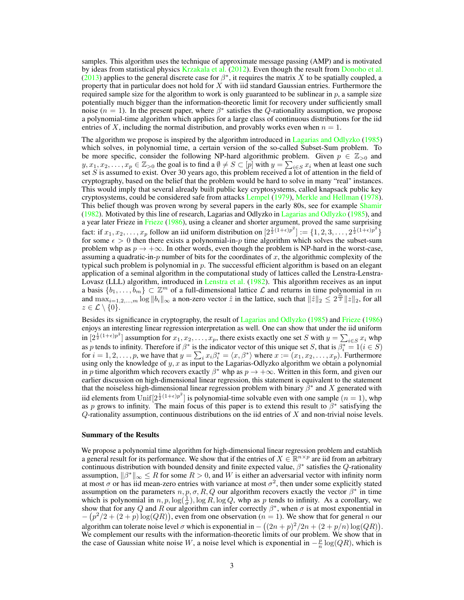samples. This algorithm uses the technique of approximate message passing (AMP) and is motivated by ideas from statistical physics Krzakala et al. (2012). Even though the result from Donoho et al. (2013) applies to the general discrete case for  $\beta^*$ , it requires the matrix X to be spatially coupled, a property that in particular does not hold for  $X$  with iid standard Gaussian entries. Furthermore the required sample size for the algorithm to work is only guaranteed to be sublinear in  $p$ , a sample size potentially much bigger than the information-theoretic limit for recovery under sufficiently small noise ( $n = 1$ ). In the present paper, where  $\beta^*$  satisfies the Q-rationality assumption, we propose a polynomial-time algorithm which applies for a large class of continuous distributions for the iid entries of X, including the normal distribution, and provably works even when  $n = 1$ .

The algorithm we propose is inspired by the algorithm introduced in Lagarias and Odlyzko (1985) which solves, in polynomial time, a certain version of the so-called Subset-Sum problem. To be more specific, consider the following NP-hard algorithmic problem. Given  $p \in \mathbb{Z}_{>0}$  and  $y, x_1, x_2, \ldots, x_p \in \mathbb{Z}_{\geq 0}$  the goal is to find a  $\emptyset \neq S \subset [p]$  with  $y = \sum_{i \in S} x_i$  when at least one such set S is assumed to exist. Over 30 years ago, this problem received a lot of attention in the field of cryptography, based on the belief that the problem would be hard to solve in many "real" instances. This would imply that several already built public key cryptosystems, called knapsack public key cryptosystems, could be considered safe from attacks Lempel (1979), Merkle and Hellman (1978). This belief though was proven wrong by several papers in the early 80s, see for example Shamir (1982). Motivated by this line of research, Lagarias and Odlyzko in Lagarias and Odlyzko (1985), and a year later Frieze in Frieze (1986), using a cleaner and shorter argument, proved the same surprising fact: if  $x_1, x_2, \ldots, x_p$  follow an iid uniform distribution on  $[2^{\frac{1}{2}(1+\epsilon)p^2}] := \{1, 2, 3, \ldots, 2^{\frac{1}{2}(1+\epsilon)p^2}\}\$ for some  $\epsilon > 0$  then there exists a polynomial-in-p time algorithm which solves the subset-sum problem whp as  $p \to +\infty$ . In other words, even though the problem is NP-hard in the worst-case, assuming a quadratic-in- $p$  number of bits for the coordinates of  $x$ , the algorithmic complexity of the typical such problem is polynomial in p. The successful efficient algorithm is based on an elegant application of a seminal algorithm in the computational study of lattices called the Lenstra-Lenstra-Lovasz (LLL) algorithm, introduced in Lenstra et al. (1982). This algorithm receives as an input a basis  $\{b_1, \ldots, b_m\} \subset \mathbb{Z}^m$  of a full-dimensional lattice  $\mathcal L$  and returns in time polynomial in m and  $\max_{i=1,2,...,m} \log ||b_i||_{\infty}$  a non-zero vector  $\hat{z}$  in the lattice, such that  $||\hat{z}||_2 \leq 2^{\frac{m}{2}} ||z||_2$ , for all  $z \in \mathcal{L} \setminus \{0\}.$ 

Besides its significance in cryptography, the result of Lagarias and Odlyzko (1985) and Frieze (1986) enjoys an interesting linear regression interpretation as well. One can show that under the iid uniform in  $[2^{\frac{1}{2}(1+\epsilon)p^2}]$  assumption for  $x_1, x_2, \ldots, x_p$ , there exists exactly one set S with  $y = \sum_{i \in S} x_i$  whp as p tends to infinity. Therefore if  $\beta^*$  is the indicator vector of this unique set S, that is  $\beta_i^* = 1$  ( $i \in S$ ) for  $i = 1, 2, \ldots, p$ , we have that  $y = \sum_i x_i \beta_i^* = \langle x, \beta^* \rangle$  where  $x := (x_1, x_2, \ldots, x_p)$ . Furthermore using only the knowledge of  $y, x$  as input to the Lagarias-Odlyzko algorithm we obtain a polynomial in p time algorithm which recovers exactly  $\beta^*$  whp as  $p \to +\infty$ . Written in this form, and given our earlier discussion on high-dimensional linear regression, this statement is equivalent to the statement that the noiseless high-dimensional linear regression problem with binary  $\hat{\beta}^*$  and X generated with iid elements from  $\text{Unif}[2^{\frac{1}{2}(1+\epsilon)p^2}]$  is polynomial-time solvable even with one sample  $(n=1)$ , whp as p grows to infinity. The main focus of this paper is to extend this result to  $\hat{\beta}^*$  satisfying the  $Q$ -rationality assumption, continuous distributions on the iid entries of  $X$  and non-trivial noise levels.

#### Summary of the Results

We propose a polynomial time algorithm for high-dimensional linear regression problem and establish a general result for its performance. We show that if the entries of  $X \in \mathbb{R}^{n \times p}$  are iid from an arbitrary continuous distribution with bounded density and finite expected value,  $\beta^*$  satisfies the Q-rationality assumption,  $\|\beta^*\|_{\infty} \leq R$  for some  $R > 0$ , and W is either an adversarial vector with infinity norm at most  $\sigma$  or has iid mean-zero entries with variance at most  $\sigma^2$ , then under some explicitly stated assumption on the parameters  $n, p, \sigma, R, Q$  our algorithm recovers exactly the vector  $\beta^*$  in time which is polynomial in  $n, p, \log(\frac{1}{\sigma})$ ,  $\log R$ ,  $\log Q$ , whp as p tends to infinity. As a corollary, we show that for any Q and R our algorithm can infer correctly  $\beta^*$ , when  $\sigma$  is at most exponential in  $-(p^2/2 + (2+p) \log(QR))$ , even from one observation (n = 1). We show that for general n our algorithm can tolerate noise level  $\sigma$  which is exponential in  $-((2n+p)^2/2n+(2+p/n)\log(QR)).$ We complement our results with the information-theoretic limits of our problem. We show that in the case of Gaussian white noise W, a noise level which is exponential in  $-\frac{p}{n} \log(QR)$ , which is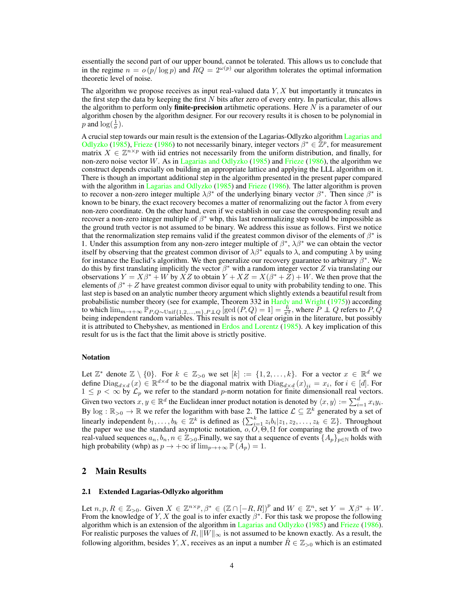essentially the second part of our upper bound, cannot be tolerated. This allows us to conclude that in the regime  $n = o(p/\log p)$  and  $RQ = 2^{\omega(p)}$  our algorithm tolerates the optimal information theoretic level of noise.

The algorithm we propose receives as input real-valued data  $Y, X$  but importantly it truncates in the first step the data by keeping the first  $N$  bits after zero of every entry. In particular, this allows the algorithm to perform only **finite-precision** artihmetic operations. Here  $N$  is a parameter of our algorithm chosen by the algorithm designer. For our recovery results it is chosen to be polynomial in *p* and  $\log(\frac{1}{\sigma})$ .

A crucial step towards our main result is the extension of the Lagarias-Odlyzko algorithm Lagarias and Odlyzko (1985), Frieze (1986) to not necessarily binary, integer vectors  $\beta^* \in \mathbb{Z}^p$ , for measurement matrix  $X \in \mathbb{Z}^{n \times p}$  with iid entries not necessarily from the uniform distribution, and finally, for non-zero noise vector W. As in Lagarias and Odlyzko (1985) and Frieze (1986), the algorithm we construct depends crucially on building an appropriate lattice and applying the LLL algorithm on it. There is though an important additional step in the algorithm presented in the present paper compared with the algorithm in Lagarias and Odlyzko (1985) and Frieze (1986). The latter algorithm is proven to recover a non-zero integer multiple  $\lambda \beta^*$  of the underlying binary vector  $\beta^*$ . Then since  $\beta^*$  is known to be binary, the exact recovery becomes a matter of renormalizing out the factor  $\lambda$  from every non-zero coordinate. On the other hand, even if we establish in our case the corresponding result and recover a non-zero integer multiple of  $\beta^*$  whp, this last renormalizing step would be impossible as the ground truth vector is not assumed to be binary. We address this issue as follows. First we notice that the renormalization step remains valid if the greatest common divisor of the elements of  $\beta^*$  is 1. Under this assumption from any non-zero integer multiple of  $\beta^*$ ,  $\lambda\beta^*$  we can obtain the vector itself by observing that the greatest common divisor of  $\lambda\beta^*$  equals to  $\lambda$ , and computing  $\lambda$  by using for instance the Euclid's algorithm. We then generalize our recovery guarantee to arbitrary  $\beta^*$ . We do this by first translating implicitly the vector  $\beta^*$  with a random integer vector Z via translating our observations  $Y = X\beta^* + W$  by  $XZ$  to obtain  $Y + XZ = X(\beta^* + Z) + W$ . We then prove that the elements of  $\beta^* + Z$  have greatest common divisor equal to unity with probability tending to one. This last step is based on an analytic number theory argument which slightly extends a beautiful result from probabilistic number theory (see for example, Theorem 332 in Hardy and Wright (1975)) according to which  $\lim_{m\to+\infty}$   $\mathbb{P}_{P,Q\sim \text{Unif}\{1,2,...,m\},P \perp Q}$  [gcd  $(P,Q) = 1$ ] =  $\frac{\delta}{\pi^2}$ , where  $P \perp Q$  refers to  $P, Q$ being independent random variables. This result is not of clear origin in the literature, but possibly it is attributed to Chebyshev, as mentioned in Erdos and Lorentz (1985). A key implication of this result for us is the fact that the limit above is strictly positive.

## Notation

Let  $\mathbb{Z}^*$  denote  $\mathbb{Z} \setminus \{0\}$ . For  $k \in \mathbb{Z}_{>0}$  we set  $[k] := \{1, 2, ..., k\}$ . For a vector  $x \in \mathbb{R}^d$  we define  $\text{Diag}_{d \times d}(x) \in \mathbb{R}^{d \times d}$  to be the diagonal matrix with  $\text{Diag}_{d \times d}(x)_{ii} = x_i$ , for  $i \in [d]$ . For  $1 \leq p < \infty$  by  $\mathcal{L}_p$  we refer to the standard p-norm notation for finite dimensionall real vectors. Given two vectors  $x, y \in \mathbb{R}^d$  the Euclidean inner product notation is denoted by  $\langle x, y \rangle := \sum_{i=1}^d x_i y_i$ . By  $\log : \mathbb{R}_{>0} \to \mathbb{R}$  we refer the logarithm with base 2. The lattice  $\mathcal{L} \subseteq \mathbb{Z}^k$  generated by a set of linearly independent  $b_1, \ldots, b_k \in \mathbb{Z}^k$  is defined as  $\{\sum_{i=1}^k z_i b_i | z_1, z_2, \ldots, z_k \in \mathbb{Z}\}\.$  Throughout the paper we use the standard asymptotic notation,  $o, O, \Theta, \Omega$  for comparing the growth of two real-valued sequences  $a_n, b_n, n \in \mathbb{Z}_{>0}$ . Finally, we say that a sequence of events  $\{A_p\}_{p\in\mathbb{N}}$  holds with high probability (whp) as  $p \to +\infty$  if  $\lim_{p \to +\infty} \mathbb{P}(A_p) = 1$ .

# 2 Main Results

### 2.1 Extended Lagarias-Odlyzko algorithm

Let  $n, p, R \in \mathbb{Z}_{>0}$ . Given  $X \in \mathbb{Z}^{n \times p}, \beta^* \in (\mathbb{Z} \cap [-R, R])^p$  and  $W \in \mathbb{Z}^n$ , set  $Y = X\beta^* + W$ . From the knowledge of Y, X the goal is to infer exactly  $\beta^*$ . For this task we propose the following algorithm which is an extension of the algorithm in Lagarias and Odlyzko (1985) and Frieze (1986). For realistic purposes the values of R,  $||W||_{\infty}$  is not assumed to be known exactly. As a result, the following algorithm, besides Y, X, receives as an input a number  $\hat{R} \in \mathbb{Z}_{>0}$  which is an estimated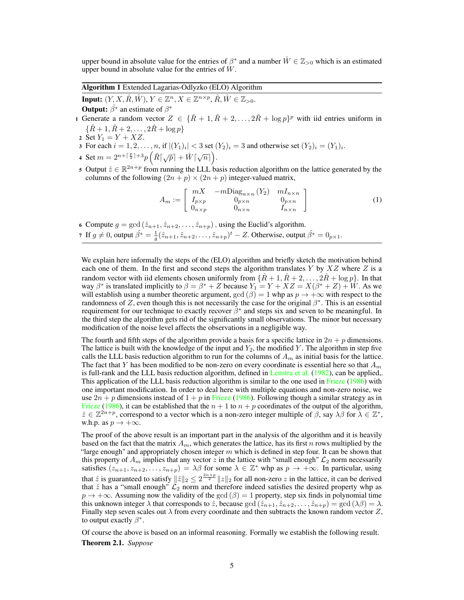upper bound in absolute value for the entries of  $\beta^*$  and a number  $\hat{W} \in \mathbb{Z}_{>0}$  which is an estimated upper bound in absolute value for the entries of  $W$ .

Algorithm 1 Extended Lagarias-Odlyzko (ELO) Algorithm

Input:  $(Y, X, \hat{R}, \hat{W}), Y \in \mathbb{Z}^n, X \in \mathbb{Z}^{n \times p}, \hat{R}, \hat{W} \in \mathbb{Z}_{>0}.$ **Output:**  $\hat{\beta}^*$  an estimate of  $\beta^*$ 

- 1 Generate a random vector  $Z \in {\{\hat{R} + 1, \hat{R} + 2, ..., 2\hat{R} + \log p\}}^p$  with iid entries uniform in  $\{\hat{R} + 1, \hat{R} + 2, \ldots, 2\hat{R} + \log p\}$
- 2 Set  $Y_1 = Y + XZ$ .
- 3 For each  $i = 1, 2, ..., n$ , if  $|(Y_1)_i| < 3$  set  $(Y_2)_i = 3$  and otherwise set  $(Y_2)_i = (Y_1)_i$ .
- 4 Set  $m = 2^{n + \lceil \frac{p}{2} \rceil + 3} p\left(\hat{R} \lceil \sqrt{p} \rceil + \hat{W} \lceil \sqrt{n} \rceil\right)$ .
- 5 Output  $\hat{z} \in \mathbb{R}^{2n+p}$  from running the LLL basis reduction algorithm on the lattice generated by the columns of the following  $(2n + p) \times (2n + p)$  integer-valued matrix,

$$
A_m := \begin{bmatrix} mX & -m\text{Diag}_{n\times n} (Y_2) & mI_{n\times n} \\ I_{p\times p} & 0_{p\times n} & 0_{p\times n} \\ 0_{n\times p} & 0_{n\times n} & I_{n\times n} \end{bmatrix}
$$
(1)

6 Compute  $g = \gcd(\hat{z}_{n+1}, \hat{z}_{n+2}, \dots, \hat{z}_{n+p})$ , using the Euclid's algorithm.

7 If  $g \neq 0$ , output  $\hat{\beta^*} = \frac{1}{g}(\hat{z}_{n+1}, \hat{z}_{n+2}, \dots, \hat{z}_{n+p})^t - Z$ . Otherwise, output  $\hat{\beta^*} = 0_{p \times 1}$ .

We explain here informally the steps of the (ELO) algorithm and briefly sketch the motivation behind each one of them. In the first and second steps the algorithm translates  $Y$  by  $XZ$  where  $Z$  is a random vector with iid elements chosen uniformly from  $\{R+1, R+2, \ldots, 2R+\log p\}$ . In that way  $\beta^*$  is translated implicitly to  $\beta = \beta^* + Z$  because  $Y_1 = Y + XZ = X(\beta^* + Z) + W$ . As we will establish using a number theoretic argument,  $gcd(\beta) = 1$  whp as  $p \to +\infty$  with respect to the randomness of Z, even though this is not necessarily the case for the original  $\beta^*$ . This is an essential requirement for our technique to exactly recover  $\beta^*$  and steps six and seven to be meaningful. In the third step the algorithm gets rid of the significantly small observations. The minor but necessary modification of the noise level affects the observations in a negligible way.

The fourth and fifth steps of the algorithm provide a basis for a specific lattice in  $2n + p$  dimensions. The lattice is built with the knowledge of the input and  $Y_2$ , the modified Y. The algorithm in step five calls the LLL basis reduction algorithm to run for the columns of  $A_m$  as initial basis for the lattice. The fact that Y has been modified to be non-zero on every coordinate is essential here so that  $A_m$ is full-rank and the LLL basis reduction algorithm, defined in Lenstra et al. (1982), can be applied,. This application of the LLL basis reduction algorithm is similar to the one used in Frieze (1986) with one important modification. In order to deal here with multiple equations and non-zero noise, we use  $2n + p$  dimensions instead of  $1 + p$  in Frieze (1986). Following though a similar strategy as in Frieze (1986), it can be established that the  $n + 1$  to  $n + p$  coordinates of the output of the algorithm,  $\hat{z} \in \mathbb{Z}^{2n+p}$ , correspond to a vector which is a non-zero integer multiple of  $\beta$ , say  $\lambda\beta$  for  $\lambda \in \mathbb{Z}^*$ , w.h.p. as  $p \to +\infty$ .

The proof of the above result is an important part in the analysis of the algorithm and it is heavily based on the fact that the matrix  $A_m$ , which generates the lattice, has its first n rows multiplied by the "large enough" and appropriately chosen integer  $m$  which is defined in step four. It can be shown that this property of  $A_m$  implies that any vector z in the lattice with "small enough"  $\mathcal{L}_2$  norm necessarily satisfies  $(z_{n+1}, z_{n+2}, \ldots, z_{n+p}) = \lambda \beta$  for some  $\lambda \in \mathbb{Z}^*$  whp as  $p \to +\infty$ . In particular, using that  $\hat{z}$  is guaranteed to satisfy  $\|\hat{z}\|_2 \leq 2^{\frac{2n+p}{2}} \|z\|_2$  for all non-zero  $z$  in the lattice, it can be derived that  $\hat{z}$  has a "small enough"  $\mathcal{L}_2$  norm and therefore indeed satisfies the desired property whp as  $p \to +\infty$ . Assuming now the validity of the gcd  $(\beta) = 1$  property, step six finds in polynomial time this unknown integer  $\lambda$  that corresponds to  $\hat{z}$ , because gcd  $(\hat{z}_{n+1}, \hat{z}_{n+2}, \dots, \hat{z}_{n+p}) = \text{gcd}(\lambda \beta) = \lambda$ . Finally step seven scales out  $\lambda$  from every coordinate and then subtracts the known random vector Z, to output exactly  $\beta^*$ .

Of course the above is based on an informal reasoning. Formally we establish the following result. Theorem 2.1. *Suppose*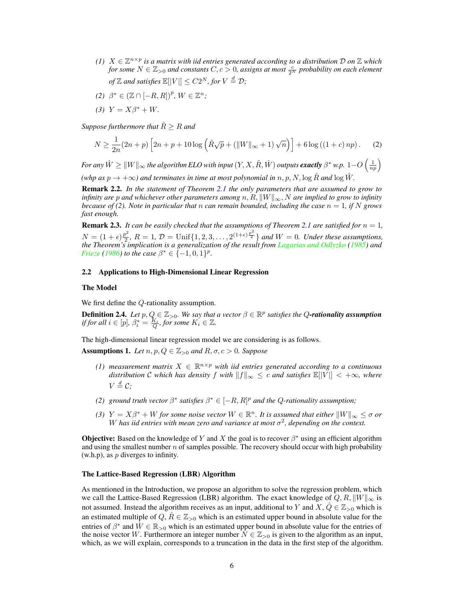- *(1)*  $X \in \mathbb{Z}^{n \times p}$  is a matrix with iid entries generated according to a distribution  $D$  on  $\mathbb{Z}$  which *for some*  $N \in \mathbb{Z}_{>0}$  and constants  $C, c > 0$ , assigns at most  $\frac{c}{2^N}$  probability on each element *of*  $\mathbb{Z}$  and satisfies  $\mathbb{E}[|V|] \leq C2^N$ , for  $V \stackrel{d}{=} \mathcal{D}$ ;
- *(2)*  $\beta^* \in (\mathbb{Z} \cap [-R, R])^p$ ,  $W \in \mathbb{Z}^n$ ;
- 
- *(3)*  $Y = X\beta^* + W$ .

*Suppose furthermore that*  $\hat{R} > R$  *and* 

$$
N \ge \frac{1}{2n}(2n+p)\left[2n+p+10\log\left(\hat{R}\sqrt{p} + (||W||_{\infty}+1)\sqrt{n}\right)\right] + 6\log((1+c)np). \tag{2}
$$

For any  $\hat{W} \geq \|W\|_{\infty}$  the algorithm ELO with input  $(Y,X,\hat{R},\hat{W})$  outputs **exactly**  $\beta^*$  w.p.  $1-O\left(\frac{1}{np}\right)$ 

*(whp as*  $p \rightarrow +\infty$ *) and terminates in time at most polynomial in* n, p, N, log  $\hat{R}$  *and* log  $\hat{W}$ *.* 

Remark 2.2. *In the statement of Theorem 2.1 the only parameters that are assumed to grow to infinity are* p and whichever other parameters among  $n, R, ||W||_{\infty}$ , N are implied to grow to infinity *because of (2). Note in particular that* n *can remain bounded, including the case*  $n = 1$ *, if* N *grows fast enough.*

**Remark 2.3.** *It can be easily checked that the assumptions of Theorem 2.1 are satisfied for*  $n = 1$ *,*  $N = (1 + \epsilon) \frac{p^2}{2}$  $2^2, R = 1, D = \text{Unif}\{1, 2, 3, \ldots, 2^{(1+\epsilon)\frac{p^2}{2}}\}$  *and*  $W = 0$ *. Under these assumptions, the Theorem's implication is a generalization of the result from Lagarias and Odlyzko (1985) and Frieze* (1986) *to the case*  $\beta^* \in \{-1, 0, 1\}^p$ .

## 2.2 Applications to High-Dimensional Linear Regression

## The Model

We first define the Q-rationality assumption.

**Definition 2.4.** Let  $p, Q \in \mathbb{Z}_{>0}$ . We say that a vector  $\beta \in \mathbb{R}^p$  satisfies the Q-rationality assumption *if for all*  $i \in [p]$ ,  $\beta_i^* = \frac{K_i}{Q}$ , for some  $K_i \in \mathbb{Z}$ .

The high-dimensional linear regression model we are considering is as follows.

Assumptions 1. Let  $n, p, Q \in \mathbb{Z}_{>0}$  and  $R, \sigma, c > 0$ *. Suppose* 

- *(1)* measurement matrix  $X$  ∈  $\mathbb{R}^{n \times p}$  with iid entries generated according to a continuous *distribution* C which has density f with  $||f||_{\infty} \leq c$  and satisfies  $\mathbb{E}[\vert V \vert] < +\infty$ , where  $V \stackrel{d}{=} C;$
- *(2) ground truth vector*  $\beta^*$  *satisfies*  $\beta^* \in [-R, R]^p$  *and the Q-rationality assumption;*
- *(3)*  $Y = X\beta^* + W$  *for some noise vector*  $W \in \mathbb{R}^n$ . It is assumed that either  $||W||_{\infty} \leq \sigma$  or W has iid entries with mean zero and variance at most  $\sigma^2$ , depending on the context.

**Objective:** Based on the knowledge of Y and X the goal is to recover  $\beta^*$  using an efficient algorithm and using the smallest number  $n$  of samples possible. The recovery should occur with high probability  $(w.h.p)$ , as p diverges to infinity.

## The Lattice-Based Regression (LBR) Algorithm

As mentioned in the Introduction, we propose an algorithm to solve the regression problem, which we call the Lattice-Based Regression (LBR) algorithm. The exact knowledge of  $Q, R, ||W||_{\infty}$  is not assumed. Instead the algorithm receives as an input, additional to Y and X,  $\hat{Q} \in \mathbb{Z}_{>0}$  which is an estimated multiple of  $Q, \hat{R} \in \mathbb{Z}_{>0}$  which is an estimated upper bound in absolute value for the entries of  $\beta^*$  and  $\hat{W} \in \mathbb{R}_{>0}$  which is an estimated upper bound in absolute value for the entries of the noise vector W. Furthermore an integer number  $N \in \mathbb{Z}_{>0}$  is given to the algorithm as an input, which, as we will explain, corresponds to a truncation in the data in the first step of the algorithm.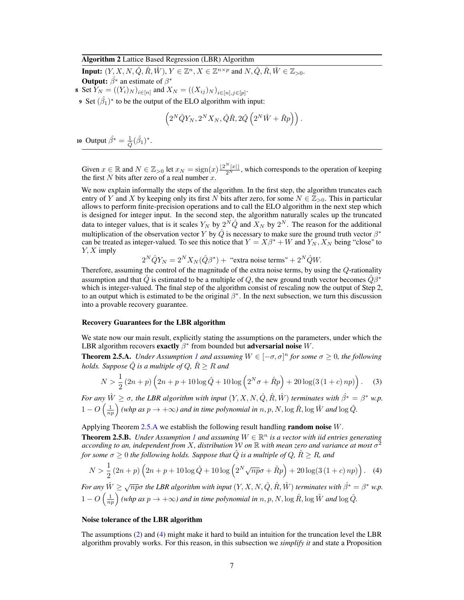## Algorithm 2 Lattice Based Regression (LBR) Algorithm

**Input:**  $(Y, X, N, \hat{Q}, \hat{R}, \hat{W}), Y \in \mathbb{Z}^n, X \in \mathbb{Z}^{n \times p}$  and  $N, \hat{Q}, \hat{R}, \hat{W} \in \mathbb{Z}_{>0}$ .

**Output:**  $\hat{\beta}^*$  an estimate of  $\beta^*$ 

8 Set  $Y_N = ((Y_i)_N)_{i \in [n]}$  and  $X_N = ((X_{ij})_N)_{i \in [n], j \in [p]}$ .

9 Set  $(\hat{\beta}_1)^*$  to be the output of the ELO algorithm with input:

$$
\left(2^N\hat{Q}Y_N,2^NX_N,\hat{Q}\hat{R},2\hat{Q}\left(2^N\hat{W}+\hat{R}p\right)\right).
$$

10 Output  $\hat{\beta^*} = \frac{1}{\hat{Q}}(\hat{\beta_1})^*$ .

Given  $x \in \mathbb{R}$  and  $N \in \mathbb{Z}_{>0}$  let  $x_N = \text{sign}(x) \frac{\lfloor 2^N |x| \rfloor}{2^N}$ , which corresponds to the operation of keeping the first  $N$  bits after zero of a real number  $x$ .

We now explain informally the steps of the algorithm. In the first step, the algorithm truncates each entry of Y and X by keeping only its first N bits after zero, for some  $N \in \mathbb{Z}_{>0}$ . This in particular allows to perform finite-precision operations and to call the ELO algorithm in the next step which is designed for integer input. In the second step, the algorithm naturally scales up the truncated data to integer values, that is it scales  $Y_N$  by  $2^N \hat{Q}$  and  $X_N$  by  $2^N$ . The reason for the additional multiplication of the observation vector Y by  $\hat{Q}$  is necessary to make sure the ground truth vector  $\beta^*$ can be treated as integer-valued. To see this notice that  $Y = X\beta^* + W$  and  $Y_N, X_N$  being "close" to  $Y, X$  imply

$$
2^N\hat{Q}Y_N = 2^NX_N(\hat{Q}\beta^*) + \text{ "extra noise terms" } + 2^N\hat{Q}W.
$$

Therefore, assuming the control of the magnitude of the extra noise terms, by using the Q-rationality assumption and that  $\hat{Q}$  is estimated to be a multiple of Q, the new ground truth vector becomes  $\hat{Q}\beta^*$ which is integer-valued. The final step of the algorithm consist of rescaling now the output of Step 2, to an output which is estimated to be the original  $\beta^*$ . In the next subsection, we turn this discussion into a provable recovery guarantee.

#### Recovery Guarantees for the LBR algorithm

We state now our main result, explicitly stating the assumptions on the parameters, under which the LBR algorithm recovers exactly  $\beta^*$  from bounded but adversarial noise W.

**Theorem 2.5.A.** *Under Assumption 1 and assuming*  $W \in [-\sigma, \sigma]^n$  *for some*  $\sigma \ge 0$ *, the following holds. Suppose*  $\hat{Q}$  *is a multiple of*  $Q$ *,*  $\hat{R} \ge R$  *and* 

$$
N > \frac{1}{2} (2n+p) \left(2n+p+10 \log \hat{Q} + 10 \log \left(2^N \sigma + \hat{R}p\right) + 20 \log(3\left(1+c\right)np)\right). \tag{3}
$$

*For any*  $\hat{W} \ge \sigma$ , the LBR algorithm with input  $(Y, X, N, \hat{Q}, \hat{R}, \hat{W})$  terminates with  $\hat{\beta}^* = \beta^*$  w.p.  $1 - O\left(\frac{1}{np}\right)$  (whp as  $p \to +\infty$ ) and in time polynomial in  $n, p, N, \log \hat{R}$ ,  $\log \hat{W}$  and  $\log \hat{Q}$ .

Applying Theorem  $2.5.A$  we establish the following result handling **random noise**  $W$ .

**Theorem 2.5.B.** Under Assumption 1 and assuming  $W \in \mathbb{R}^n$  is a vector with iid entries generating *according to an, independent from* X*, distribution* W *on* R *with mean zero and variance at most* σ 2 *for some*  $\sigma \geq 0$  *the following holds. Suppose that*  $\hat{Q}$  *is a multiple of*  $Q$ *,*  $\hat{R} \geq R$ *, and* 

$$
N > \frac{1}{2} (2n+p) \left(2n+p+10 \log \hat{Q} + 10 \log \left(2^N \sqrt{np} \sigma + \hat{R} p\right) + 20 \log(3 \left(1+c\right) np)\right). \tag{4}
$$

For any  $\hat{W} \ge \sqrt{n p}$ σ the LBR algorithm with input  $(Y, X, N, \hat{Q}, \hat{R}, \hat{W})$  terminates with  $\hat{\beta^*} = \beta^*$  w.p.  $1 - O\left(\frac{1}{np}\right)$  (whp as  $p \to +\infty$ ) and in time polynomial in  $n, p, N, \log \hat{R}$ ,  $\log \hat{W}$  and  $\log \hat{Q}$ .

#### Noise tolerance of the LBR algorithm

The assumptions (2) and (4) might make it hard to build an intuition for the truncation level the LBR algorithm provably works. For this reason, in this subsection we *simplify it* and state a Proposition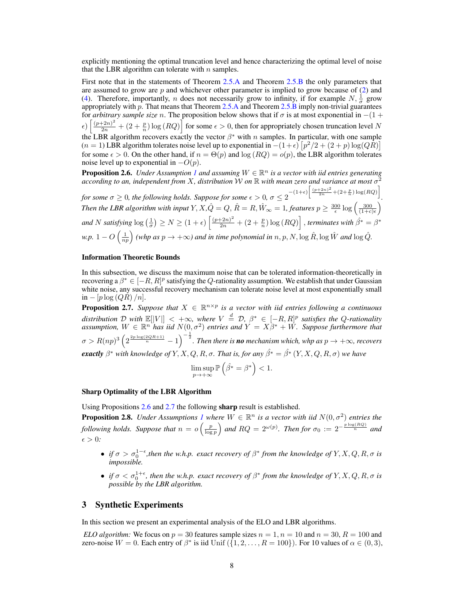explicitly mentioning the optimal truncation level and hence characterizing the optimal level of noise that the LBR algorithm can tolerate with  $n$  samples.

First note that in the statements of Theorem 2.5.A and Theorem 2.5.B the only parameters that are assumed to grow are  $p$  and whichever other parameter is implied to grow because of  $(2)$  and (4). Therefore, importantly, *n* does not necessarily grow to infinity, if for example  $N$ ,  $\frac{1}{\sigma}$  grow appropriately with  $p$ . That means that Theorem 2.5.A and Theorem 2.5.B imply non-trivial guarantees for *arbitrary sample size* n. The proposition below shows that if  $\sigma$  is at most exponential in  $-(1 +$  $\epsilon$ )  $\left[\frac{(p+2n)^2}{2n} + (2+\frac{p}{n})\log(RQ)\right]$  for some  $\epsilon > 0$ , then for appropriately chosen truncation level N the LBR algorithm recovers exactly the vector  $\beta^*$  with n samples. In particular, with one sample  $(n = 1)$  LBR algorithm tolerates noise level up to exponential in  $-(1+\epsilon) \left[ p^2/2 + (2+p) \log(QR) \right]$ for some  $\epsilon > 0$ . On the other hand, if  $n = \Theta(p)$  and  $\log(RQ) = o(p)$ , the LBR algorithm tolerates noise level up to exponential in  $-O(p)$ .

**Proposition 2.6.** *Under Assumption 1 and assuming*  $W \in \mathbb{R}^n$  *is a vector with iid entries generating according to an, independent from* X*, distribution* W *on* R *with mean zero and variance at most* σ 2 *for some*  $\sigma \geq 0$ , the following holds. Suppose for some  $\epsilon > 0$ ,  $\sigma \leq 2^{-(1+\epsilon)\left[\frac{(p+2n)^2}{2n} + (2+\frac{p}{n})\log(RQ)\right]}$ *.* Then the LBR algorithm with input  $Y$ ,  $X$ , $\hat{Q}=Q$ ,  $\hat{R}=R$ ,  $\hat{W}_{\infty}=1$ , features  $p\geq \frac{300}{\epsilon}\log\left(\frac{300}{(1+c)\epsilon}\right)$ and  $N$  satisfying  $\log(\frac{1}{\sigma}) \ge N \ge (1+\epsilon)\left[\frac{(p+2n)^2}{2n} + (2+\frac{p}{n})\log(RQ)\right]$  , *terminates with*  $\hat{\beta}^* = \beta^*$ *w.p.*  $1 - O\left(\frac{1}{np}\right)$  (whp as  $p \to +\infty$ ) and in time polynomial in  $n, p, N, \log \hat{R}$ ,  $\log \hat{W}$  and  $\log \hat{Q}$ .

#### Information Theoretic Bounds

In this subsection, we discuss the maximum noise that can be tolerated information-theoretically in recovering a  $\beta^* \in [-R, R]^p$  satisfying the Q-rationality assumption. We establish that under Gaussian white noise, any successful recovery mechanism can tolerate noise level at most exponentially small  $in - [p \log (QR) / n].$ 

**Proposition 2.7.** Suppose that  $X \in \mathbb{R}^{n \times p}$  is a vector with iid entries following a continuous distribution D with  $\mathbb{E}[|V|] < +\infty$ , where  $V \stackrel{d}{=} D$ ,  $\beta^* \in [-R, R]^p$  satisfies the Q-rationality assumption,  $W \in \mathbb{R}^n$  has iid  $N(0, \sigma^2)$  entries and  $Y = X\beta^* + W$ . Suppose furthermore that  $\sigma > R(np)^3\left(2^{\frac{2p\log(2QR+1)}{n}}-1\right)^{-\frac{1}{2}}$ . Then there is **no** mechanism which, whp as  $p\to +\infty$ , recovers *exactly*  $\beta^*$  *with knowledge of*  $Y, X, Q, R, \sigma$ . That is, for any  $\hat{\beta^*} = \hat{\beta^*}(Y, X, Q, R, \sigma)$  we have

$$
\limsup_{p \to +\infty} \mathbb{P}\left(\hat{\beta^*} = \beta^*\right) < 1.
$$

## Sharp Optimality of the LBR Algorithm

Using Propositions 2.6 and 2.7 the following sharp result is established.

**Proposition 2.8.** *Under Assumptions 1 where*  $W \in \mathbb{R}^n$  *is a vector with iid*  $N(0, \sigma^2)$  *entries the following holds. Suppose that*  $n = o\left(\frac{p}{\log p}\right)$  and  $RQ = 2^{\omega(p)}$ . Then for  $\sigma_0 := 2^{-\frac{p \log(RQ)}{n}}$  and  $\epsilon > 0$ :

- *if*  $\sigma > \sigma_0^{1-\epsilon}$ , then the w.h.p. exact recovery of  $\beta^*$  from the knowledge of  $Y, X, Q, R, \sigma$  is *impossible.*
- *if*  $\sigma < \sigma_0^{1+\epsilon}$ , then the w.h.p. exact recovery of  $\beta^*$  from the knowledge of  $Y, X, Q, R, \sigma$  is *possible by the LBR algorithm.*

## 3 Synthetic Experiments

In this section we present an experimental analysis of the ELO and LBR algorithms.

*ELO algorithm:* We focus on  $p = 30$  features sample sizes  $n = 1, n = 10$  and  $n = 30, R = 100$  and zero-noise  $W = 0$ . Each entry of  $\beta^*$  is iid Unif  $(\{1, 2, \ldots, R = 100\})$ . For 10 values of  $\alpha \in (0, 3)$ ,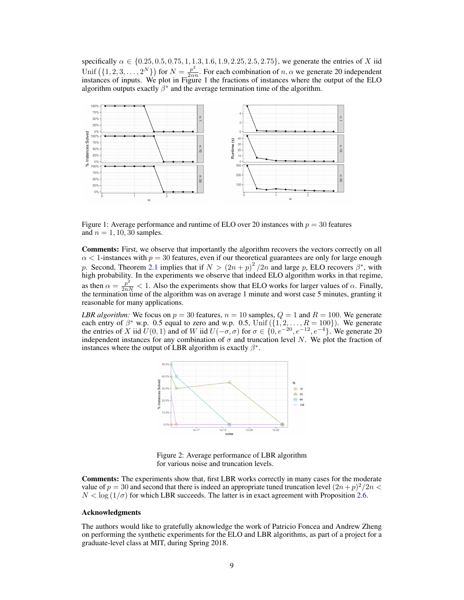specifically  $\alpha \in \{0.25, 0.5, 0.75, 1, 1.3, 1.6, 1.9, 2.25, 2.5, 2.75\}$ , we generate the entries of X iid Unif  $(\{1, 2, 3, ..., 2^N\})$  for  $N = \frac{p^2}{2\alpha^3}$  $\frac{p}{2\alpha n}$ . For each combination of  $n, \alpha$  we generate 20 independent instances of inputs. We plot in Figure 1 the fractions of instances where the output of the ELO algorithm outputs exactly  $\beta^*$  and the average termination time of the algorithm.



Figure 1: Average performance and runtime of ELO over 20 instances with  $p = 30$  features and  $n = 1, 10, 30$  samples.

Comments: First, we observe that importantly the algorithm recovers the vectors correctly on all  $\alpha$  < 1-instances with  $p = 30$  features, even if our theoretical guarantees are only for large enough p. Second, Theorem 2.1 implies that if  $N > (2n+p)^2/2n$  and large p, ELO recovers  $\beta^*$ , with high probability. In the experiments we observe that indeed ELO algorithm works in that regime, as then  $\alpha = \frac{p^2}{2nN} < 1$ . Also the experiments show that ELO works for larger values of  $\alpha$ . Finally, the termination time of the algorithm was on average 1 minute and worst case 5 minutes, granting it reasonable for many applications.

*LBR algorithm:* We focus on  $p = 30$  features,  $n = 10$  samples,  $Q = 1$  and  $R = 100$ . We generate each entry of  $\beta^*$  w.p. 0.5 equal to zero and w.p. 0.5, Unif  $(\{1, 2, ..., R = 100\})$ . We generate the entries of X iid  $U(0, 1)$  and of W iid  $U(-\sigma, \sigma)$  for  $\sigma \in \{0, e^{-20}, e^{-12}, e^{-4}\}$ . We generate 20 independent instances for any combination of  $\sigma$  and truncation level N. We plot the fraction of instances where the output of LBR algorithm is exactly  $\beta^*$ .



Figure 2: Average performance of LBR algorithm for various noise and truncation levels.

Comments: The experiments show that, first LBR works correctly in many cases for the moderate value of  $p = 30$  and second that there is indeed an appropriate tuned truncation level  $(2n+p)^2/2n <$  $N < \log(1/\sigma)$  for which LBR succeeds. The latter is in exact agreement with Proposition 2.6.

## Acknowledgments

The authors would like to gratefully aknowledge the work of Patricio Foncea and Andrew Zheng on performing the synthetic experiments for the ELO and LBR algorithms, as part of a project for a graduate-level class at MIT, during Spring 2018.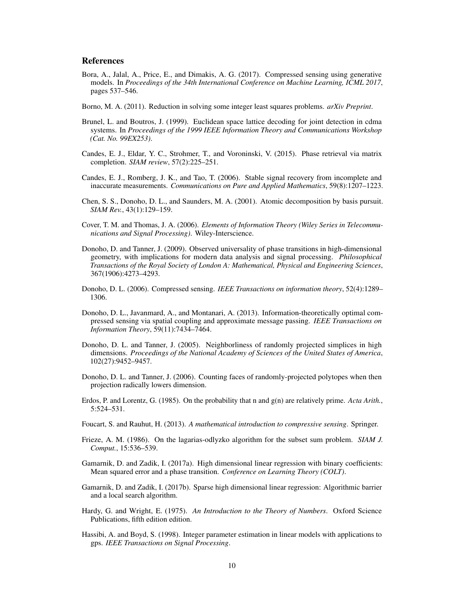## References

- Bora, A., Jalal, A., Price, E., and Dimakis, A. G. (2017). Compressed sensing using generative models. In *Proceedings of the 34th International Conference on Machine Learning, ICML 2017*, pages 537–546.
- Borno, M. A. (2011). Reduction in solving some integer least squares problems. *arXiv Preprint*.
- Brunel, L. and Boutros, J. (1999). Euclidean space lattice decoding for joint detection in cdma systems. In *Proceedings of the 1999 IEEE Information Theory and Communications Workshop (Cat. No. 99EX253)*.
- Candes, E. J., Eldar, Y. C., Strohmer, T., and Voroninski, V. (2015). Phase retrieval via matrix completion. *SIAM review*, 57(2):225–251.
- Candes, E. J., Romberg, J. K., and Tao, T. (2006). Stable signal recovery from incomplete and inaccurate measurements. *Communications on Pure and Applied Mathematics*, 59(8):1207–1223.
- Chen, S. S., Donoho, D. L., and Saunders, M. A. (2001). Atomic decomposition by basis pursuit. *SIAM Rev.*, 43(1):129–159.
- Cover, T. M. and Thomas, J. A. (2006). *Elements of Information Theory (Wiley Series in Telecommunications and Signal Processing)*. Wiley-Interscience.
- Donoho, D. and Tanner, J. (2009). Observed universality of phase transitions in high-dimensional geometry, with implications for modern data analysis and signal processing. *Philosophical Transactions of the Royal Society of London A: Mathematical, Physical and Engineering Sciences*, 367(1906):4273–4293.
- Donoho, D. L. (2006). Compressed sensing. *IEEE Transactions on information theory*, 52(4):1289– 1306.
- Donoho, D. L., Javanmard, A., and Montanari, A. (2013). Information-theoretically optimal compressed sensing via spatial coupling and approximate message passing. *IEEE Transactions on Information Theory*, 59(11):7434–7464.
- Donoho, D. L. and Tanner, J. (2005). Neighborliness of randomly projected simplices in high dimensions. *Proceedings of the National Academy of Sciences of the United States of America*, 102(27):9452–9457.
- Donoho, D. L. and Tanner, J. (2006). Counting faces of randomly-projected polytopes when then projection radically lowers dimension.
- Erdos, P. and Lorentz, G. (1985). On the probability that n and g(n) are relatively prime. *Acta Arith.*, 5:524–531.
- Foucart, S. and Rauhut, H. (2013). *A mathematical introduction to compressive sensing*. Springer.
- Frieze, A. M. (1986). On the lagarias-odlyzko algorithm for the subset sum problem. *SIAM J. Comput.*, 15:536–539.
- Gamarnik, D. and Zadik, I. (2017a). High dimensional linear regression with binary coefficients: Mean squared error and a phase transition. *Conference on Learning Theory (COLT)*.
- Gamarnik, D. and Zadik, I. (2017b). Sparse high dimensional linear regression: Algorithmic barrier and a local search algorithm.
- Hardy, G. and Wright, E. (1975). *An Introduction to the Theory of Numbers*. Oxford Science Publications, fifth edition edition.
- Hassibi, A. and Boyd, S. (1998). Integer parameter estimation in linear models with applications to gps. *IEEE Transactions on Signal Processing*.